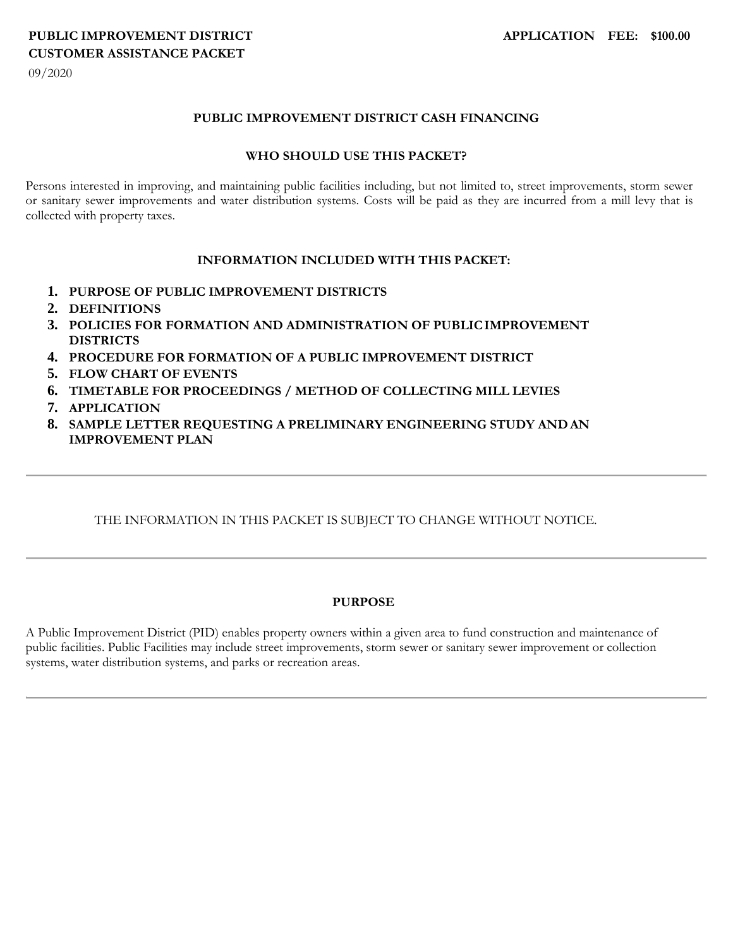# **PUBLIC IMPROVEMENT DISTRICT APPLICATION FEE: \$100.00 CUSTOMER ASSISTANCE PACKET**

09/2020

#### **PUBLIC IMPROVEMENT DISTRICT CASH FINANCING**

#### **WHO SHOULD USE THIS PACKET?**

Persons interested in improving, and maintaining public facilities including, but not limited to, street improvements, storm sewer or sanitary sewer improvements and water distribution systems. Costs will be paid as they are incurred from a mill levy that is collected with property taxes.

#### **INFORMATION INCLUDED WITH THIS PACKET:**

- **1. PURPOSE OF PUBLIC IMPROVEMENT DISTRICTS**
- **2. DEFINITIONS**
- **3. POLICIES FOR FORMATION AND ADMINISTRATION OF PUBLICIMPROVEMENT DISTRICTS**
- **4. PROCEDURE FOR FORMATION OF A PUBLIC IMPROVEMENT DISTRICT**
- **5. FLOW CHART OF EVENTS**
- **6. TIMETABLE FOR PROCEEDINGS / METHOD OF COLLECTING MILL LEVIES**
- **7. APPLICATION**
- **8. SAMPLE LETTER REQUESTING A PRELIMINARY ENGINEERING STUDY ANDAN IMPROVEMENT PLAN**

#### THE INFORMATION IN THIS PACKET IS SUBJECT TO CHANGE WITHOUT NOTICE.

#### **PURPOSE**

A Public Improvement District (PID) enables property owners within a given area to fund construction and maintenance of public facilities. Public Facilities may include street improvements, storm sewer or sanitary sewer improvement or collection systems, water distribution systems, and parks or recreation areas.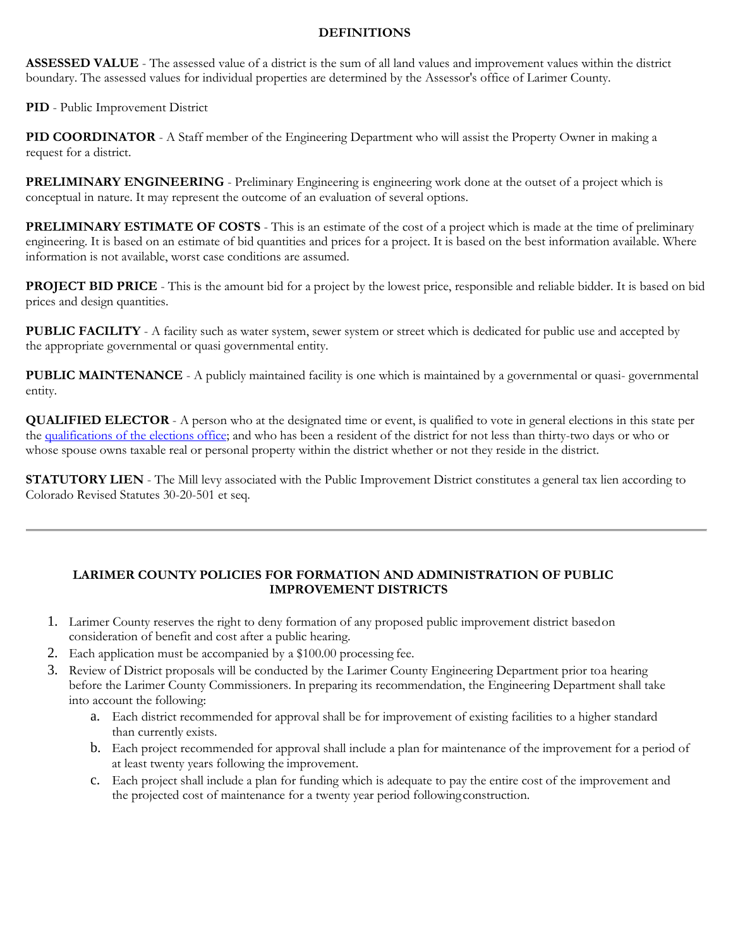#### **DEFINITIONS**

**ASSESSED VALUE** - The assessed value of a district is the sum of all land values and improvement values within the district boundary. The assessed values for individual properties are determined by the Assessor's office of Larimer County.

**PID** - Public Improvement District

**PID COORDINATOR** - A Staff member of the Engineering Department who will assist the Property Owner in making a request for a district.

**PRELIMINARY ENGINEERING** - Preliminary Engineering is engineering work done at the outset of a project which is conceptual in nature. It may represent the outcome of an evaluation of several options.

**PRELIMINARY ESTIMATE OF COSTS** - This is an estimate of the cost of a project which is made at the time of preliminary engineering. It is based on an estimate of bid quantities and prices for a project. It is based on the best information available. Where information is not available, worst case conditions are assumed.

**PROJECT BID PRICE** - This is the amount bid for a project by the lowest price, responsible and reliable bidder. It is based on bid prices and design quantities.

**PUBLIC FACILITY** - A facility such as water system, sewer system or street which is dedicated for public use and accepted by the appropriate governmental or quasi governmental entity.

**PUBLIC MAINTENANCE** - A publicly maintained facility is one which is maintained by a governmental or quasi- governmental entity.

**QUALIFIED ELECTOR** - A person who at the designated time or event, is qualified to vote in general elections in this state per the [qualifications of the elections office;](https://www.sos.state.co.us/pubs/elections/FAQs/VoterRegistrationFAQ.html) and who has been a resident of the district for not less than thirty-two days or who or whose spouse owns taxable real or personal property within the district whether or not they reside in the district.

**STATUTORY LIEN** - The Mill levy associated with the Public Improvement District constitutes a general tax lien according to Colorado Revised Statutes 30-20-501 et seq.

### **LARIMER COUNTY POLICIES FOR FORMATION AND ADMINISTRATION OF PUBLIC IMPROVEMENT DISTRICTS**

- 1. Larimer County reserves the right to deny formation of any proposed public improvement district basedon consideration of benefit and cost after a public hearing.
- 2. Each application must be accompanied by a \$100.00 processing fee.
- 3. Review of District proposals will be conducted by the Larimer County Engineering Department prior toa hearing before the Larimer County Commissioners. In preparing its recommendation, the Engineering Department shall take into account the following:
	- a. Each district recommended for approval shall be for improvement of existing facilities to a higher standard than currently exists.
	- b. Each project recommended for approval shall include a plan for maintenance of the improvement for a period of at least twenty years following the improvement.
	- c. Each project shall include a plan for funding which is adequate to pay the entire cost of the improvement and the projected cost of maintenance for a twenty year period followingconstruction.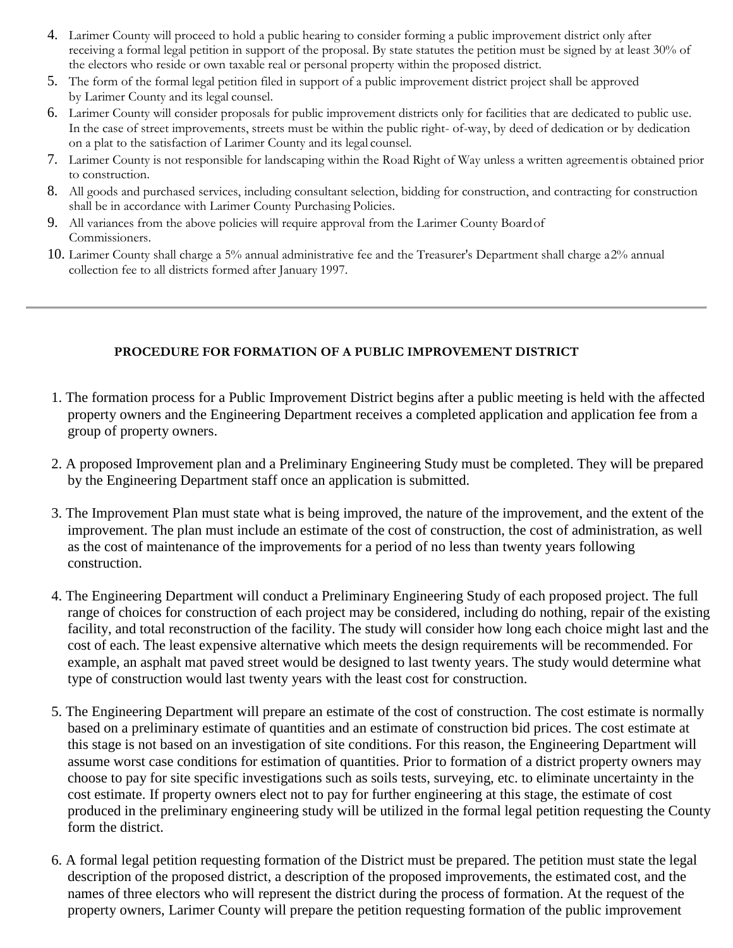- 4. Larimer County will proceed to hold a public hearing to consider forming a public improvement district only after receiving a formal legal petition in support of the proposal. By state statutes the petition must be signed by at least 30% of the electors who reside or own taxable real or personal property within the proposed district.
- 5. The form of the formal legal petition filed in support of a public improvement district project shall be approved by Larimer County and its legal counsel.
- 6. Larimer County will consider proposals for public improvement districts only for facilities that are dedicated to public use. In the case of street improvements, streets must be within the public right- of-way, by deed of dedication or by dedication on a plat to the satisfaction of Larimer County and its legal counsel.
- 7. Larimer County is not responsible for landscaping within the Road Right of Way unless a written agreementis obtained prior to construction.
- 8. All goods and purchased services, including consultant selection, bidding for construction, and contracting for construction shall be in accordance with Larimer County Purchasing Policies.
- 9. All variances from the above policies will require approval from the Larimer County Boardof Commissioners.
- 10. Larimer County shall charge a 5% annual administrative fee and the Treasurer's Department shall charge a2% annual collection fee to all districts formed after January 1997.

## **PROCEDURE FOR FORMATION OF A PUBLIC IMPROVEMENT DISTRICT**

- 1. The formation process for a Public Improvement District begins after a public meeting is held with the affected property owners and the Engineering Department receives a completed application and application fee from a group of property owners.
- 2. A proposed Improvement plan and a Preliminary Engineering Study must be completed. They will be prepared by the Engineering Department staff once an application is submitted.
- 3. The Improvement Plan must state what is being improved, the nature of the improvement, and the extent of the improvement. The plan must include an estimate of the cost of construction, the cost of administration, as well as the cost of maintenance of the improvements for a period of no less than twenty years following construction.
- 4. The Engineering Department will conduct a Preliminary Engineering Study of each proposed project. The full range of choices for construction of each project may be considered, including do nothing, repair of the existing facility, and total reconstruction of the facility. The study will consider how long each choice might last and the cost of each. The least expensive alternative which meets the design requirements will be recommended. For example, an asphalt mat paved street would be designed to last twenty years. The study would determine what type of construction would last twenty years with the least cost for construction.
- 5. The Engineering Department will prepare an estimate of the cost of construction. The cost estimate is normally based on a preliminary estimate of quantities and an estimate of construction bid prices. The cost estimate at this stage is not based on an investigation of site conditions. For this reason, the Engineering Department will assume worst case conditions for estimation of quantities. Prior to formation of a district property owners may choose to pay for site specific investigations such as soils tests, surveying, etc. to eliminate uncertainty in the cost estimate. If property owners elect not to pay for further engineering at this stage, the estimate of cost produced in the preliminary engineering study will be utilized in the formal legal petition requesting the County form the district.
- 6. A formal legal petition requesting formation of the District must be prepared. The petition must state the legal description of the proposed district, a description of the proposed improvements, the estimated cost, and the names of three electors who will represent the district during the process of formation. At the request of the property owners, Larimer County will prepare the petition requesting formation of the public improvement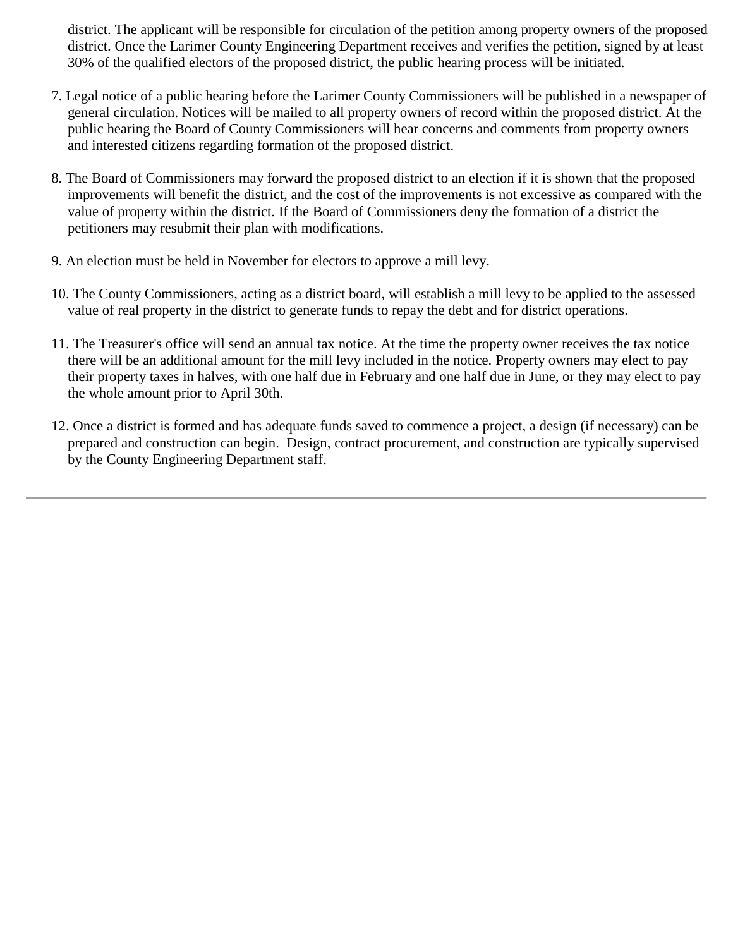district. The applicant will be responsible for circulation of the petition among property owners of the proposed district. Once the Larimer County Engineering Department receives and verifies the petition, signed by at least 30% of the qualified electors of the proposed district, the public hearing process will be initiated.

- 7. Legal notice of a public hearing before the Larimer County Commissioners will be published in a newspaper of general circulation. Notices will be mailed to all property owners of record within the proposed district. At the public hearing the Board of County Commissioners will hear concerns and comments from property owners and interested citizens regarding formation of the proposed district.
- 8. The Board of Commissioners may forward the proposed district to an election if it is shown that the proposed improvements will benefit the district, and the cost of the improvements is not excessive as compared with the value of property within the district. If the Board of Commissioners deny the formation of a district the petitioners may resubmit their plan with modifications.
- 9. An election must be held in November for electors to approve a mill levy.
- 10. The County Commissioners, acting as a district board, will establish a mill levy to be applied to the assessed value of real property in the district to generate funds to repay the debt and for district operations.
- 11. The Treasurer's office will send an annual tax notice. At the time the property owner receives the tax notice there will be an additional amount for the mill levy included in the notice. Property owners may elect to pay their property taxes in halves, with one half due in February and one half due in June, or they may elect to pay the whole amount prior to April 30th.
- 12. Once a district is formed and has adequate funds saved to commence a project, a design (if necessary) can be prepared and construction can begin. Design, contract procurement, and construction are typically supervised by the County Engineering Department staff.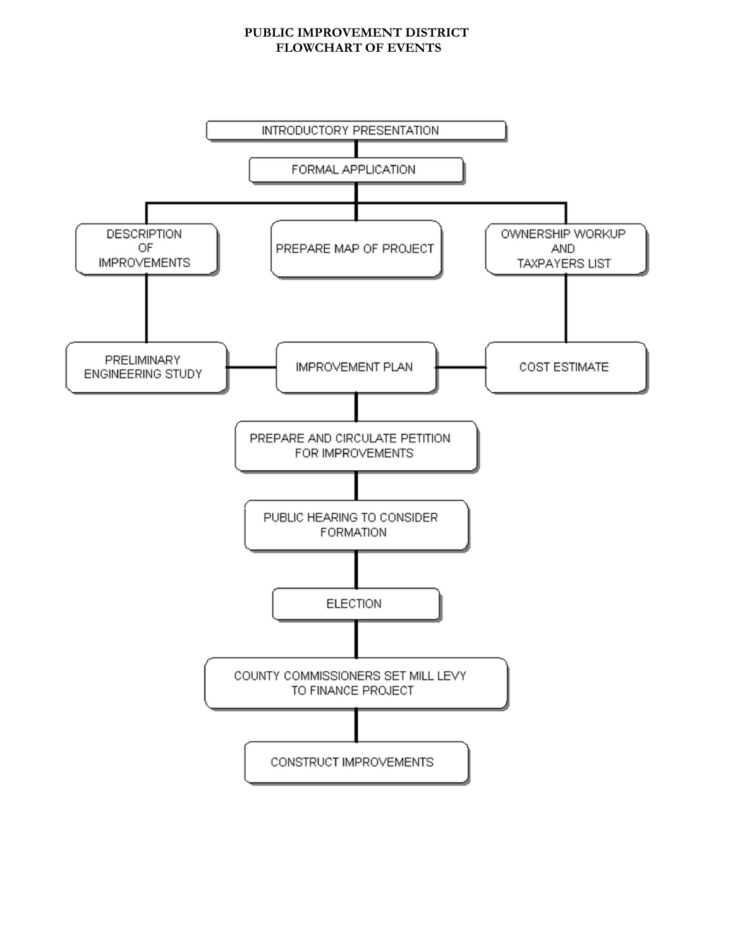#### **PUBLIC IMPROVEMENT DISTRICT FLOWCHART OF EVENTS**